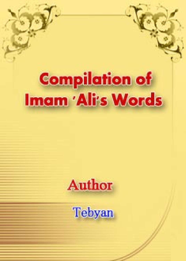# **Compilation of Imam 'Ali's Words**



Tebyan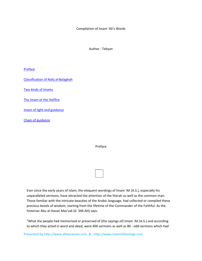Compilation of Imam 'Ali's Words

Author : Tebyan

**Preface** 

Classification of Nahj al‐Balaghah

Two kinds of Imams

The Imam of the Hellfire

Imam of light and guidance

Chain of guidance

Preface

Ever since the early years of Islam, the eloquent wordings of Imam 'Ali (A.S.), especially his unparalleled sermons, have attracted the attention of the literati as well as the common man. Those familiar with the intricate beauties of the Arabic language, had collected or compiled these precious bezels of wisdom, starting from the lifetime of the Commander of the Faithful. As the historian Abu al‐Hasan Mas'udi (d. 346 AH) says:

"What the people had memorised or preserved of (the sayings of) Imam 'Ali (A.S.) and according to which they acted in word and deed, were 400 sermons as well as 80 ‐ odd sermons which had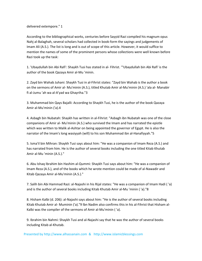delivered extempore." 1

According to the bibliographical works, centuries before Sayyid Razi compiled his magnum opus Nahj al-Balaghah, several scholars had collected in book-form the sayings and judgements of Imam Ali (A.S.). The list is long and is out of scope of this article. However, it would suffice to mention the names of some of the prominent persons whose collections were well known before Razi took up the task:

1. 'Ubaydullah bin Abi Rafi': Shaykh Tusi has stated in al‐ Fihrist. '"Ubaydullah bin Abi Rafi' is the author of the book Qazaya Amir al‐Mu 'minin.

2. Zayd bin Wahab Juhani: Shaykh Tusi in al‐Fihrist states: "Zayd bin Wahab is the author a book on the sermons of Amir al‐ Mu'minin (A.S.), titled Khutab Amir al‐Mu'minin (A.S.) 'ala al‐ Manabir fi al‐Jumu 'ah wa al‐A'yad wa Ghayriha."3

3. Muhammad bin Qays Bajalli: According to Shaykh Tusi, he is the author of the book Qazaya Amir al‐Mu'minin ('a).4

4. Asbagh bin Nubatah: Shaykh has written in al‐Fihrist: "Asbagh ibn Nubatah was one of the close companions of Amir al‐ Mu'minin (A.S.) who survived the Imam and has narrated the epistle which was written to Malik al-Ashtar on being appointed the governor of Egypt. He is also the narrator of the Imam's long wasiyyah (will) to his son Muhammad ibn al‐Hanafiyyah."5

5. Isma'il bin Mihran: Shaykh Tusi says about him: "He was a companion of Imam Reza (A.S.) and has narrated from him. He is the author of several books including the one titled Kitab Khutab Amir al‐Mu 'minin (A.S.)."

6. Abu Ishaq Ibrahim bin Hashim al‐Qummi: Shaykh Tusi says about him: "He was a companion of Imam Reza (A.S.), and of the books which he wrote mention could be made of al‐Nawadir and Kitab Qazaya Amir al‐Mu'minin (A.S.)."

7. Salih bin Abi Hammad Razi: al‐Najashi in his Rijal states: "He was a companion of Imam Hadi ( 'a) and is the author of several books including Kitab Khutab Amir al‐Mu 'minin ( 'a)."8

8. Hisham Kalbi (d. 206): al‐Najashi says about him: "He is the author of several books including Kitab Khutab Amir al‐ Muminin ('a)."9 lbn Nadim also confirms this in his al‐Fihrist that Hisham al‐ Kalbi was the compiler of the sermons of Amir al‐Mu'minin ( 'a).

9. Ibrahim bin Nahmi: Shaykh Tusi and al‐Najashi say that he was the author of several books including Kitab al‐Khutab.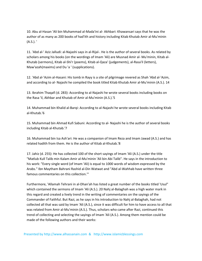10. Abu al‐Hasan 'Ali bin Muhammad al‐Mada'ini al‐ Akhbari: Khawansari says that he was the author of as many as 200 books of had'ith and history including Kitab Khutab Amir al‐Mu'minin (A.S.). '

11. 'Abd al‐' Aziz Jalludi: al‐Najashi says in al‐Rijal‐. He is the author of several books. As related by scholars among his books (on the wordings of Imam 'Ali) are Musnad Amir al‐ Mu'minin, Kitab al‐ Khutab (sermons), Kitab al‐Shi'r (poems), Kitab al‐Qaza' (judgements), al‐Rasa'il (letters), Maw'azah(maxims) and Du 'a ' (supplications).

12. 'Abd al‐'Azim al‐Hasani: His tomb in Rayy is a site of pilgrimage revered as Shah 'Abd al‐'Azim, and according to al‐ Najashi he compiled the book titled Kitab Khutab Amir al‐Mu'minin (A.S.). 14

13. Ibrahim Thaqafi (d. 283): According to al‐Najashi he wrote several books including books on the Rasa 'il, Akhbar and Khutab of Amir al‐Mu'minin (A.S.).'S

14. Muhammad bin Khalid al‐Barqi: According to al‐Najashi he wrote several books including Kitab al‐Khutab.'6

15. Muhammad bin Ahmad Kufi Sabuni: According to al‐ Najashi he is the author of several books including Kitab al‐Khutab.'7

16. Muhammad bin Isa Ash'ari: He was a companion of Imam Reza and Imam Jawad (A.S.) and has related hadith from them. He is the author of Kitab al‐Khutab.'8

17. Jahiz (d. 255): He has collected 100 of the short sayings of Imam 'Ali (A.S.) under the title "Matlub Kull Talib min Kalam Amir al‐Mu'minin 'Ali bin Abi Talib". He says in the introduction to his work: "Every single word (of Imam 'Ali) is equal to 1000 words of wisdom expressed by the Arabs." Ibn Maytham Bahrani Rashid al‐Din Watwat and "Abd al‐Wahhab have written three famous commentaries on this collection.'"

Furthermore, 'Allamah Tehrani in al‐Dhan'ah has listed a great number of the books titled 'Usul" which contained the sermons of Imam 'Ali (A.S.). 20 Nahj al-Balaghah was a high water mark in this regard and created a lively trend in the writing of commentaries on the sayings of the Commander of Faithful. But Razi, as he says in his introduction to Nahj al‐Balaghah, had not collected all that was said by Imam 'Ali (A.S.), since it was difficult for him to have access to all that was related from Amir al-Mu'minin (A.S.). Thus, scholars who came after Razi, continued this trend of collecting and selecting the sayings of Imam 'Ali (A.S.). Among them mention could be made of the following authors and their works: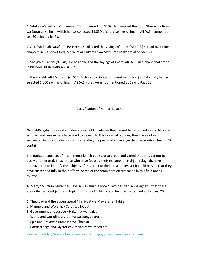1. 'Abd al‐Wahed bin Muhammad Tamimi Amudi (d. 510). He compiled the book Ghurar al‐Hikam wa Durar al-Kalim in which he has collected 11,050 of short sayings of Imam 'Ali (A.S.), compared to 480 selected by Razi.

2. Abu 'Abdullah Qaza'i (d. 454): He has collected the sayings of Imam 'Ali (A.S.) spread over nine chapters in his book titled: Ma 'alim al‐Hukama ' wa Mathurah Makarim al‐Shiyam.21

3. Shaykh al‐Tabrisi (d. 548): He has arranged the sayings of Imam 'Ali (A.S.) in alphabetical order in his book Kitab Nathr al‐ Lial'i.22

4. Ibn Abi al‐Hadid Mu'tazili (d: 655): In his voluminous commentary on Nahj al‐Balaghah, he has selected 1,000 sayings of Imam 'Ali (A.S.) that were not mentioned by Sayyid Razi. 23

Classification of Nahj al‐Balaghah

Nahj al‐Balaghah is a vast and deep ocean of knowledge that cannot be fathomed easily. Although scholars and researchers have tried to delve into this ocean of wonder, they have not yet succeeded in fully locating or comprehending the pearls of knowledge that the words of Imam 'Ali contain.

The topics or subjects of this immensely rich book are so broad and varied that they cannot be easily enumerated. Thus, those who have focused their research on Nahj al‐Balaghah, have endeavoured to identify the subjects of this book to their best ability, yet it could be said that they have succeeded fully in their efforts. Some of the prominent efforts made in this field are as follows:

A. Martyr Murtaza Mutahhari says in his valuable book "Sayri dar Nahj al‐Balaghah", that there are quite many subjects and topics in this book which could be broadly defined as follows: 25

- 1. Theology and the Supernatural / Ilahiyyat wa Mawara ' al‐Tabi'ah
- 2. Manners and Worship / Suluk wa Ibadat
- 3. Government and Justice / Hakumat wa Idalat
- 4. World and worldliness / Dunya wa Dunya‐Parasti
- 5. Epic and Bravery / Hamasah wa Shaja'at
- 6. Poetical Saga and Mysteries / Malahim wa Maghibat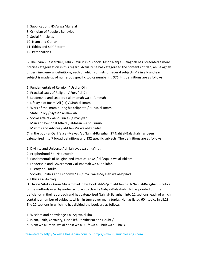- 7. Supplications /Du'a wa Munajat
- 8. Criticism of People's Behaviour
- 9. Social Principles
- 10. Islam and Qur'an
- 11. Ethics and Self‐Reform
- 12. Personalities

B. The Syrian Researcher, Labib Bayzun in his book, Tasnif Nahj al‐Balaghah has presented a more precise categorization in this regard. Actually he has categorized the contents of Nahj al‐ Balaghah under nine general definitions, each of which consists of several subjects ‐49 in all‐ and each subject is made up of numerous specific topics numbering 376. His definitions are as follows:

- 1. Fundamentals of Religion / Usul al‐Din
- 2. Practical Laws of Religion / Furu ' al‐Din
- 3. Leadership and Leaders / al‐Imamah wa al‐Aimmah
- 4. Lifestyle of Imam 'Ali ( 'a) / Sirah al‐Imam
- 5. Wars of the Imam during his caliphate / Hurub al‐Imam
- 6. State Policy / Siyasah al‐Dawlah
- 7. Social Affairs / al‐Shu'un al‐Ijtima'iyyah
- 8. Man and Personal Affairs / al-Insan wa Shu'unuh
- 9. Maxims and Advices / al‐Mawa'iz wa al‐Irshadat
- C. In the book al‐Dalil 'ala al‐Mawzu 'at Nahj al‐Balaghah 27 Nahj al‐Balaghah has been

categorized into 7 broad definitions and 132 specific subjects. The definitions are as follows:

- 1. Divinity and Universe / al-Ilahiyyat wa al-Ka'inat
- 2. Prophethood / al‐Nabuwwah
- 3. Fundamentals of Religion and Practical Laws / al‐'Aqa'id wa al‐Ahkam
- 4. Leadership and Government / al‐Imamah wa al‐Khilafah
- 5. History / al‐Tarikh
- 6. Society, Politics and Economy / al‐Ijtima ' wa al‐Siyasah wa al‐Iqtisad
- 7. Ethics / al‐Akhlaq

D. Uways 'Abd al‐Karim Muhammad in his book al‐Mu'jam al‐Mawzu'i li Nahj al‐Balaghah is critical of the methods used by earlier scholars to classify Nahj al‐Balaghah. He has pointed out the deficiency in their approach and has categorized Nahj al‐ Balaghah into 22 sections, each of which contains a number of subjects, which in turn cover many topics. He has listed 604 topics in all.28 The 22 sections in which he has divided the book are as follows

- 1. Wisdom and Knowledge / al‐Aql wa al‐Ilm
- 2. Islam, Faith, Certainty, Disbelief, Polytheism and Doubt /

al‐islam wa al‐Iman ‐wa al‐Yaqin wa al‐Kufr wa al‐Shirk wa al‐Shakk.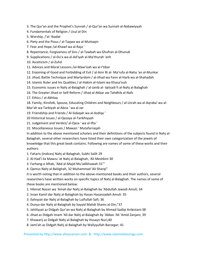3. The Qur'an and the Prophet's Sunnah / al‐Qur'an wa Sunnah al‐Nabawiyyah

4. Fundamentals of Religion / Usul al‐Din

5. Worship, /'al‐ lbadat

6. Piety and the Pious / al‐Taqwa wa al‐Muttaqin

- 7. Fear and Hope /al‐Khawf wa al‐Raja '
- 8. Repentance, Forgiveness of Sins / al‐Tawbah wa Ghufran al‐Dhunub
- 9. Supplications / al‐Du'a wa al‐Ad'iyah al‐Ma'thurah 'anh
- 10. Asceticism / al‐Zuhd
- 11. Advices and Moral Lessons /al‐Maw'izah wa al‐I'tibar
- 12. Enjoining of Good and Forbidding of Evil / al‐Amr Bi al‐ Ma'rufa al‐Nahy 'an al‐Munkar
- 13. Jihad, Battle Technique and Martyrdom / al‐Jihad wa Fann al‐Harb wa al‐Shahadah
- 14. Islamic Ruler and his Qualities / al‐Hakim al‐Islami wa Khasa'isuh
- 15. Economic issues in Nahj al‐Balaghah / al‐Janib al‐ Iqtisadi fi al‐Nahj al‐Balaghah
- 16. The Greater Jihad or Self‐Reform / Jihad al‐Akbar aw Tahdhib al‐Nafs
- 17. Ethics / al‐Akhlaq
- 18. Family, Kinsfolk, Spouse, Educating Children and Neighbours / al‐Usrah wa al‐Aqraba' wa al‐ Mar'ah wa Tarbiyah al‐Abna ' wa al‐Jar
- 19. Friendship and Friends / Al‐Sidaqah wa al‐Asdiqa '
- 20 Historical Issues / al‐Qazaya al‐Tarikhiyyah
- 21. Judgement and Verdict/ al‐Qaza ' wa al‐Ifta '
- 22. Miscellaneous Issues / Mawazi ' Mutafarraqah
- In addition to the above mentioned scholars and their definitions of the subjects found in Nahj al-

Balaghah, several other researchers have listed their own categorization of the jewels of knowledge that this great book contains. Following are names of some of these works and their authors:

- 1. Faharis (Indices) Nahj al‐Balaghah, Subhi Salih 29
- 2. Al‐Had'i ila Mawzu 'at Nahj al‐Balaghah, 'Ali Meshkini 30
- 3. Farhang‐e Aftab, 'Abd al‐Majid Mu'adikhawah 31'''
- 4. Qamus Nahj al‐Baliighah, 32 Muhammad 'Ali Sharqi"

It is worth noting that in addition to the above-mentioned books and their authors, several researchers have written works on specific topics of Nahj al-Balaghah. The names of some of these books are mentioned below:

- 1. Hikmat Nazari wa 'Amali dar Nahj al‐Balaghah by 'Abdullah Jawadi Amuli; 34
- 2. Insan Kamil dar Nahj al‐Balaghah by Hasan Hasanzadeh Amuli: 35
- 3. Ilahiyyat dar Nahj al‐Balaghah by Lutfullah Safi; 36
- 4. Dunya dar Nahj al‐Balaghah by Sayyid Mahdi Shams al‐Din;"37
- 5. Jahiliyyat az Didgah Qur'an wa Nahj al‐Balaghah by Ahmad Sadiqi Ardestani:38
- 6. Jihad az Didgah Imam 'Ali dar Nahj al‐Balaghah by 'Abbas 'Ali 'Amid Zanjani; 39
- 7. Khawarij az Didgah Nahj al‐Balaghah by Husayn Nuri;40
- 8. Jami'ah az Didgah Nahj al‐Balaghah by Waliyyullah Barzegar; 41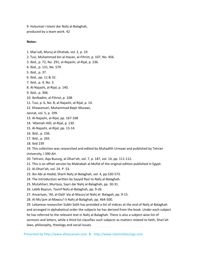9. Hukumat‐i Islami dar Nahj al‐Balaghah, produced by a team work. 42

#### **Notes:**

- 1. Mas'udi, Muruj al‐Dhahab, vol. 2, p. 19.
- 2. Tusi, Muhammad bin al‐Hasan, al‐Fihrist, p. 107, No. 456.
- 3. Ibid., p. 72, No. 291; al‐Najashi, al‐Rijal, p. 236.
- 4. Ibid., p. 131, No. 579.
- 5. Ibid., p. 37.
- 6. Ibid., pp. 11 & 32.
- 7. Ibid., p. 4, No. 3.
- 8. Al‐Najashi, al‐Rijal, p. 140.
- 9. Ibid., p. 306.
- 10. IbnNadim, al‐Fihrist, p. 108.
- 11. Tusi, p. 6, No. 8; al‐Najashi, al‐Rijal, p. 14.
- 12. Khawansari, Muhammad Baqir Musawi,
- Jannat, vol. 5, p. 199.
- 13. Al‐Najashi, al‐Rijal, pp. 167‐168
- 14. 'Allamah Hilli, al‐Rijal, p. 130.
- 15. Al‐Najashi, al‐Rijal, pp. 13‐14.
- 16. Ibid., p. 236.
- 17. Ibid., p. 265.
- 18. Ibid 239

19. This collection was researched and edited by Muhadith Urmawi and published by Tehran University, l 390 AH.

- 20. Tehrani, Aqa Buzurg, al‐Dhari'ah, vol. 7, p. 187, vol. 14, pp. 111‐112.
- 21. This is an offset version by Maktabah al-Mufid of the original edition published in Egypt.
- 22. Al‐Dhari'ah, vol. 24. P. 53.
- 23. Ibn Abi al‐Hadid, Sharh Nahj al‐Balaghah, vol. 4, pp.530‐573.
- 24. The Introduction written by Sayyid Razi to Nahj al‐Balaghah.
- 25. Mutahhari, Murtaza, Sayri dar Nahj al‐Balaghah, pp. 30‐31.
- 26. Labib Bayzun, Tasnif Nahj al‐Balaghah, pp. 9‐26.
- 27. Ansariyan, 'Ali, al‐Dalil 'ala al‐Mauzu'at Nahj al‐ Balagah, pp. 9‐15.
- 28. Al‐Mu'jam al‐Mawzu'I li Nahj al‐Balaghah, pp. 464‐500.

29. Lebanese researcher Subhi Salih has provided a list of indices at the end of Nahj al‐Balaghah and arranged in alphabetical order the subjects he has derived from the book. Under each subject he has referred to the relevant text in Nahj al‐Balaghah. There is also a subject‐wise list of sermons and letters, while a third list classifies such subjects as matters related to faith, Shari'ah laws, philosophy, theology and social Issues.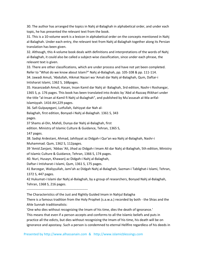30. The author has arranged the topics in Nahj al‐Balaghah in alphabetical order, and under each topic, he has presented the relevant text from the book.

31. This is a 10‐volume work is a lexicon in alphabetical order on the concepts mentioned in Nahj al-Balaghah. Under each entry, the relevant text from Nahj al-Balaghah together along its Persian translation has been given.

32. Although, this 4‐volume book deals with definitions and interpretations of the words of Nahj al-Balaghah, it could also be called a subject-wise classification, since under each phrase, the relevant text is given.

33. There are other classifications, which are under process and have not yet been completed. Refer to "What do we know about Islam?" Nahj al‐Balaghah, pp. 105‐108 & pp. 111‐114. 34. Jawadi Amuli, 'Abdullah, Hikmat Nazari wa 'Amali dar Nahj al‐Balaghah, Qum, Daftar‐i Intisharat Islami, 1362 S, 168pages.

35. Hasanzadah Amuli, Hasan, Insan Kamil dar Nahj al‐ Balaghah, 3rd edition, Nashr‐i Roshangar, 1365 S, p. 176 pages. This book has been translated into Arabic by 'Abd al‐Razzaq Iftikhari under the title "al-Insan al-Kamil fi Nahj ul-Bulaghah", and published by Mu'assasah al-Ma-arifal-Islamiyyah. 1416 AH,229 pages.

36. Safi Gulpayegani, Lutfullah, Ilahiyyat dar Nah al‐

Balaghah, first edition, Bonyad‐i Nahj al‐Balaghah. 1361 S, 343 pages.

37 Shams al‐Din, Mahdi, Dunya dar Nahj al‐Balaghah, first

edition. Ministry of Islamic Culture & Guidance, Tehran, 1365 S,

147 pages.

38. Sadiqi Ardestani, Ahmad, Jahiliyyat az Didgah‐i Qur'an wa Nahj al‐Balaghah, Nashr‐i Muhammad. Qum, 1362 S, 112pages.

39 'Amid Zanjani, 'Abbas 'Ali, Jihad az Didgah‐i Imam Ali dar Nahj al‐Balaghah, 5th edition, Ministry of Islamic Culture & Guidance, Tehran, 1366 S, 174 pages.

40. Nuri, Husayn, Khawarij az Didgah‐i Nahj al‐Balaghah,

Daftar‐i Intisharat‐i Islami, Qum, 1361 S, 175 pages.

41 Barzegar, Waliyyullah, Jami'ah az Didgah Nahj al‐Balaghah, Sazman‐i Tablighat‐i Islami, Tehran, 1372 S, 447 pages.

42 Hukumat‐i Islami dar Nahj al‐Balaghah, by a group of researchers, Bonyad Nahj al‐Balaghah, Tehran, 1368 S, 216 pages.

‐‐‐‐‐‐‐‐‐‐‐‐‐‐‐‐‐‐‐‐‐‐‐‐‐‐‐‐‐‐‐‐‐‐‐‐‐‐‐‐‐‐‐‐‐‐‐‐‐‐‐‐‐‐‐

The Characteristics of the Just and Rightly Guided Imam in Nahjul Balagha

There is a famous tradition from the Holy Prophet (s.a.w.a.) recorded by both ‐ the Shias and the Ahle Sunnah traditionalists:

'One who dies without recognizing the Imam of his time, dies the death of ignorance.'

This means that even if a person accepts and conforms to all the Islamic beliefs and puts in practice all the edicts, but dies without recognizing the Imam of his time, his death will be on ignorance and apostasy. Such a person is condemned to eternal Hellfire regardless of his deeds in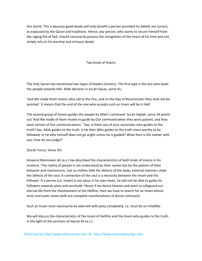this world. This is because good deeds will only benefit a person provided his beliefs are correct, as espoused by the Quran and traditions. Hence, any person, who wants to secure himself from the raging fire of hell, should necessarily possess the recognition of the Imam of his time and not simply rely on his worship and virtuous deeds.

Two kinds of Imams

The Holy Quran has mentioned two types of leaders (Imams). The first type is the one who leads the people towards Hell. Allah declares in Surah Qasas, verse 41,

'And We made them Imams who call to the Fire, and on the Day of Resurrection they shall not be assisted.' It means that the end of the one who accepts such an Imam will be in Hell.

The second group of Imams guides the people by Allah's command. Surah Sajdah, verse 24 points out 'And We made of them Imams to guide by Our command when they were patient, and they were certain of Our communications.' 'Say: Is there any of your associates who guides to the truth? Say: Allah guides to the truth. Is He then Who guides to the truth more worthy to be followed, or he who himself does not go aright unless he is guided? What then is the matter with you; how do you judge?'

(Surah Yunus, Verse 35)

Ameerul Momineen Ali (a.s.) has described the characteristics of both kinds of Imams in his orations. 'The reality of people is not understood by their names but by the pattern of their behavior and mannerisms. Just as clothes hide the defects of the body, external manners cloak the defects of the soul. A connection of the soul is a necessity between the Imam and the follower. If a person (i.e. Imam) is not pious in his own heart, he will not be able to guide his followers towards piety and servitude. Hence if we desire Heaven and want to safeguard our eternal life from the chastisement of the Hellfire, then we have to search for an Imam whose inner and outer selves both are complete manifestations of divine command.

Such an Imam must necessarily be adorned with piety completely, i.e. must be an infallible.

We will discuss the characteristics of the Imam of Hellfire and the Imam who guides to the truth, in the light of the sermons of Hazrat Ali (a.s.).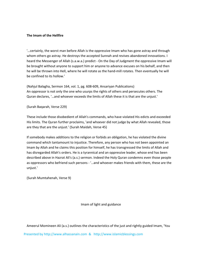### **The Imam of the Hellfire**

'…certainly, the worst man before Allah is the oppressive Imam who has gone astray and through whom others go astray. He destroys the accepted Sunnah and revives abandoned innovations. I heard the Messenger of Allah (s.a.w.a.) predict - On the Day of Judgment the oppressive Imam will be brought without anyone to support him or anyone to advance excuses on his behalf, and then he will be thrown into Hell, where he will rotate as the hand-mill rotates. Then eventually he will be confined to its hollow.'

(Nahjul Balagha, Sermon 164, vol. 1, pg. 608‐609, Ansariyan Publications) An oppressor is not only the one who usurps the rights of others and persecutes others. The Quran declares, '…and whoever exceeds the limits of Allah these it is that are the unjust.'

(Surah Baqarah, Verse 229)

These include those disobedient of Allah's commands, who have violated His edicts and exceeded His limits. The Quran further proclaims, 'and whoever did not judge by what Allah revealed, those are they that are the unjust.' (Surah Maidah, Verse 45)

If somebody makes additions to the religion or forbids an obligation, he has violated the divine command which tantamount to injustice. Therefore, any person who has not been appointed an Imam by Allah and he claims this position for himself, he has transgressed the limits of Allah and has disregarded Allah's orders. He is a tyrannical and an oppressive leader, whose end has been described above in Hazrat Ali's (a.s.) sermon. Indeed the Holy Quran condemns even those people as oppressors who befriend such persons ‐ '…and whoever makes friends with them, these are the unjust.'

(Surah Mumtahenah, Verse 9)

Imam of light and guidance

Ameerul Momineen Ali (a.s.) outlines the characteristics of the just and rightly guided Imam, 'You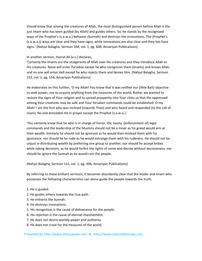should know that among the creatures of Allah, the most distinguished person before Allah is the just Imam who has been guided (by Allah) and guides others. So, he stands by the recognized ways of the Prophet's (s.a.w.a.) behavior (Sunnah) and destroys the innovations. The (Prophet's (s.a.w.a.)) ways are clear and they have signs, while innovations are also clear and they too have signs.' (Nahjul Balagha, Sermon 164, vol. 1, pg. 608, Ansariyan Publications)

### In another sermon, Hazrat Ali (a.s.) declares,

'Certainly the Imams are the vicegerents of Allah over His creatures and they introduce Allah to His creatures. None will enter Paradise except he who recognizes them (Imams) and knows Allah, and no one will enter Hell except he who rejects them and denies Him. (Nahjul Balagha, Sermon 152, vol. 1, pg. 554, Ansariyan Publications)

He elaborates on this further, 'O my Allah! You know that it was neither our (Ahle Bait) objective to seek power, nor to acquire anything from the treasures of the world. Rather we wanted to restore the signs of Your religion and to spread prosperity into Your cities so that the oppressed among Your creatures may be safe and Your forsaken commands could be established. O my Allah! I am the first who was inclined (towards Thee) and who heard and responded (to the call of Islam). No one preceded me in prayer except the Prophet (s.a.w.a.).'

'You certainly know that he who is in charge of honor, life, booty, (enforcement of) legal commands and the leadership of the Muslims should not be a miser as his greed would aim at their wealth. Similarly he should not be ignorant as he would then mislead them with his ignorance, nor should he be rude as he would estrange them with his rudeness. He should not be unjust in distributing wealth by preferring one group to another, nor should he accept bribes while taking decisions, as he would forfeit the rights of some and decree without decisiveness, nor should he ignore the Sunnah as he would ruin the people.

(Nahjul Balagha, Sermon 131, vol. 1, pg. 496, Ansariyan Publications)

By referring to these brilliant sermons, it becomes abundantly clear that the leader and Imam who possesses the following characteristics can alone guide the people towards the truth.

- 1. He is guided.
- 2. He guides others towards the true path.
- 3. He enlivens the Sunnah.
- 4. He destroys innovations.
- 5. His recognition is the cause of deliverance for the people.
- 6. His rejection is the cause of eternal chastisement.
- 7. He does not desire worldly power and authority.
- 8. He does not crave for the treasures of the world.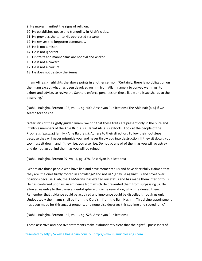- 9. He makes manifest the signs of religion.
- 10. He establishes peace and tranquility in Allah's cities.
- 11. He provides shelter to His oppressed servants.
- 12. He revives the forgotten commands.
- 13. He is not a miser.
- 14. He is not ignorant.
- 15. His traits and mannerisms are not evil and wicked.
- 16. He is not a coward.
- 17. He is not a corrupt.
- 18. He does not destroy the Sunnah.

Imam Ali (a.s.) highlights the above points in another sermon, 'Certainly, there is no obligation on the Imam except what has been devolved on him from Allah, namely to convey warnings, to exhort and advice, to revive the Sunnah, enforce penalties on those liable and issue shares to the deserving.'

(Nahjul Balagha, Sermon 105, vol. 1, pg. 400, Ansariyan Publications) The Ahle Bait (a.s.) If we search for the cha

racteristics of the rightly guided Imam, we find that these traits are present only in the pure and infallible members of the Ahle Bait (a.s.). Hazrat Ali (a.s.) exhorts, 'Look at the people of the Prophet's (s.a.w.a.) family ‐ Ahle Bait (a.s.). Adhere to their direction. Follow their footsteps because they will never misguide you, and never throw you into destruction. If they sit down, you too must sit down, and if they rise, you also rise. Do not go ahead of them, as you will go astray and do not lag behind them, as you will be ruined.

(Nahjul Balagha, Sermon 97, vol. 1, pg. 378, Ansariyan Publications)

'Where are those people who have lied and have tormented us and have deceitfully claimed that they are 'the ones firmly rooted in knowledge' and not us? (They lie against us and covet over position) because Allah, the All‐Merciful has exalted our status and has made them inferior to us. He has conferred upon us an eminence from which He prevented them from surpassing us. He allowed us entry to the transcendental sphere of divine revelation, which He denied them. Remember that guidance could be acquired and ignorance could be dispelled through us only. Undoubtedly the Imams shall be from the Quraish, from the Bani Hashim. This divine appointment has been made for this august progeny, and none else deserves this sublime and sacred rank.'

(Nahjul Balagha, Sermon 144, vol. 1, pg. 528, Ansariyan Publications)

These assertive and decisive statements make it abundantly clear that the rightful possessors of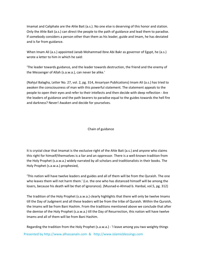Imamat and Caliphate are the Ahle Bait (a.s.). No one else is deserving of this honor and station. Only the Ahle Bait (a.s.) can direct the people to the path of guidance and lead them to paradise. If somebody considers a person other than them as his leader, guide and Imam, he has deviated and is far from guidance.

When Imam Ali (a.s.) appointed Janab Mohammad Ibne Abi Bakr as governor of Egypt, he (a.s.) wrote a letter to him in which he said:

'The leader towards guidance, and the leader towards destruction, the friend and the enemy of the Messenger of Allah (s.a.w.a.), can never be alike.'

(Nahjul Balagha, Letter No. 27, vol. 2, pg. 314, Ansariyan Publications) Imam Ali (a.s.) has tried to awaken the consciousness of man with this powerful statement. The statement appeals to the people to open their eyes and refer to their intellects and then decide with deep reflection ‐ Are the leaders of guidance and the path bearers to paradise equal to the guides towards the hell fire and darkness? Never! Awaken and decide for yourselves.

## Chain of guidance

It is crystal clear that Imamat is the exclusive right of the Ahle Bait (a.s.) and anyone who claims this right for himself/themselves is a liar and an oppressor. There is a well‐known tradition from the Holy Prophet (s.a.w.a.) widely narrated by all scholars and traditionalists in their books. The Holy Prophet (s.a.w.a.) prophesied,

'This nation will have twelve leaders and guides and all of them will be from the Quraish. The one who leaves them will not harm them.' (i.e. the one who has distanced himself will be among the losers, because his death will be that of ignorance). (Musnad‐e‐Ahmad b. Hanbal, vol.5, pg. 312)

The tradition of the Holy Prophet (s.a.w.a.) clearly highlights that there will only be twelve Imams till the Day of Judgment and all these leaders will be from the tribe of Quraish. Within the Quraish, the Imams will be from Bani Hashim. From the traditions mentioned above we conclude that after the demise of the Holy Prophet (s.a.w.a.) till the Day of Resurrection, this nation will have twelve Imams and all of them will be from Bani Hashim.

Presented by http://www.alhassanain.com & http://www.islamicblessings.com Regarding the tradition from the Holy Prophet (s.a.w.a.) ‐ 'I leave among you two weighty things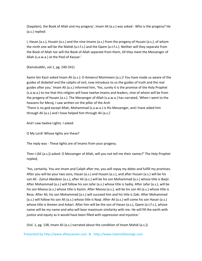(Saqalain), the Book of Allah and my progeny', Imam Ali (a.s.) was asked ‐ Who is the progeny? He (a.s.) replied:

I, Hasan (a.s.), Husain (a.s.) and the nine Imams (a.s.) from the progeny of Husain (a.s.), of whom the ninth one will be the Mahdi (a.t.f.s.) and the Qaem (a.t.f.s.). Neither will they separate from the Book of Allah nor will the Book of Allah separate from them, till they meet the Messenger of Allah (s.a.w.a.) at the Pool of Kausar.'

(Kamaluddin, vol.1, pg. 240‐241)

Aamir bin Kasir asked Imam Ali (a.s.): O Ameerul Momineen (a.s.)! You have made us aware of the guides of disbelief and the caliphs of evil, now introduce to us the guides of truth and the real guides after you.' Imam Ali (a.s.) informed him, 'Yes, surely it is the promise of the Holy Prophet (s.a.w.a.) to me that this religion will have twelve Imams and leaders, nine of whom will be from the progeny of Husain (a.s.). The Messenger of Allah (s.a.w.a.) has narrated, 'When I went to the heavens for Meraj, I saw written on the pillar of the Arsh

'There is no god except Allah, Mohammad (s.a.w.a.) is His Messenger, and I have aided him through Ali (a.s.) and I have helped him through Ali (a.s.)'

And I saw twelve Lights. I asked:

O My Lord! Whose lights are these?

The reply was ‐ These lights are of Imams from your progeny.

Then I (Ali (a.s.)) asked: O Messenger of Allah, will you not tell me their names?' The Holy Prophet replied,

'Yes, certainly. You are Imam and Caliph after me, you will repay my debts and fulfill my promises. After you will be your two sons, Hasan (a.s.) and Husain (a.s.), and after Husain (a.s.) will be his son Ali ‐ Zainul Abedeen (a.s.), after Ali (a.s.) will be his son Mohammad (a.s.) whose title is Baqir. After Mohammad (a.s.) will follow his son Jafar (a.s.) whose title is Sadiq. After Jafar (a.s.), will be his son Moosa (a.s.) whose title is Kazim. After Moosa (a.s.), will be his son Ali (a.s.) whose title is Reza. After Ali, his son Mohammad (a.s.) will succeed him and his title is Zaki. After Mohammad (a.s.) will follow his son Ali (a.s.) whose title is Naqi. After Ali (a.s.) will come his son Hasan (a.s.) whose title is Ameen and Askari. After him will be the son of Hasan (a.s.), Qaem (a.t.f.s.), whose name will be my name and who will bear maximum similarity with me. He will fill the earth with justice and equity as it would have been filled with oppression and injustice.'

(Vol. 1, pg. 138, Imam Ali (a.s.) narrated about the condition of Imam Mahdi (a.s.))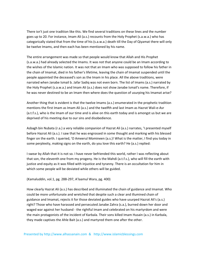There isn't just one tradition like this. We find several traditions on these lines and the number goes up to 20. For instance, Imam Ali (a.s.) recounts from the Holy Prophet (s.a.w.a.) who has categorically stated that from the time of his (s.a.w.a.) death till the Day of Qiyamat there will only be twelve Imams, and then each has been mentioned by his name.

The entire arrangement was made so that people would know that Allah and His Prophet (s.a.w.a.) had already selected the Imams. It was not that anyone could be an Imam according to the wishes of the Islamic nation. It was not that an Imam who was supposed to follow his father in the chain of Imamat, died in his father's lifetime, leaving the chain of Imamat suspended until the people appointed the deceased's son as the Imam in his place. All the above traditions, were narrated when Janabe Ismail b. Jafar Sadiq was not even born. The list of Imams (a.s.) narrated by the Holy Prophet (s.a.w.a.) and Imam Ali (a.s.) does not show Janabe Ismail's name. Therefore, if he was never destined to be an Imam then where does the question of usurping his Imamat arise?

Another thing that is evident is that the twelve Imams (a.s.) enumerated in the prophetic tradition mentions the first Imam as Imam Ali (a.s.) and the twelfth and last Imam as Hazrat Wali-e-Asr (a.t.f.s.), who is the Imam of our time and is alive on this earth today and is amongst us but we are deprived of his meeting due to our sins and disobedience.

Asbagh bin Nubata (r.a.) a very reliable companion of Hazrat Ali (a.s.) narrates, 'I presented myself before Hazrat Ali (a.s.). I saw that he was engrossed in some thought and marking with his blessed finger on the earth. I queried, 'O Ameerul Momineen (a.s.)! What is the matter, I find you today in some perplexity, making signs on the earth, do you love this earth? He (a.s.) replied:

I swear by Allah that it is not so. I have never befriended this world, rather I was reflecting about that son, the eleventh one from my progeny. He is the Mahdi (a.t.f.s.), who will fill the earth with justice and equity as it was filled with injustice and tyranny. There is an occultation for him in which some people will be deviated while others will be guided.

(Kamaluddin, vol.1, pg. 288‐297, A'laamul Wara, pg. 400)

How clearly Hazrat Ali (a.s.) has described and illuminated the chain of guidance and Imamat. Who could be more unfortunate and wretched that despite such a clear and illumined chain of guidance and Imamat, rejects it for those deviated guides who have usurped Hazrat Ali's (a.s.) right? Those who have harassed and persecuted Janabe Zahra (s.a.), burned down her door and waged war against her husband - the rightful Imam and celebrated on his martyrdom and were the main protagonists of the incident of Karbala. Their sons killed Imam Husain (a.s.) in Karbala, they made captives the Ahle Bait (a.s.) and martyred them one after the other.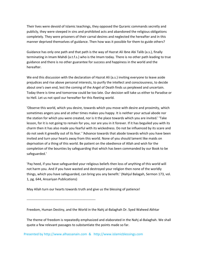Their lives were devoid of Islamic teachings, they opposed the Quranic commands secretly and publicly, they were steeped in sins and prohibited acts and abandoned the religious obligations completely. They were prisoners of their carnal desires and neglected the hereafter and in this manner deprived themselves of guidance. Then how was it possible for them to guide others?

Guidance has only one path and that path is the way of Hazrat Ali Ibne Abi Talib (a.s.), finally terminating in Imam Mahdi (a.t.f.s.) who is the Imam today. There is no other path leading to true guidance and there is no other guarantee for success and happiness in the world and the hereafter.

We end this discussion with the declaration of Hazrat Ali (a.s.) inviting everyone to leave aside prejudices and rise above personal interests, to purify the intellect and consciousness, to decide about one's own end, lest the coming of the Angel of Death finds us perplexed and uncertain. Today there is time and tomorrow could be too late. Our decision will take us either to Paradise or to Hell. Let us not spoil our hereafter for this fleeting world.

'Observe this world, which you desire, towards which you move with desire and proximity, which sometimes angers you and at other times makes you happy. It is neither your actual abode nor the station for which you were created, nor is it the place towards which you are invited.' 'Take lesson, for it is not going to remain for you, nor are you in it forever. If it has beguiled you with its charm then it has also made you fearful with its wickedness. Do not be influenced by its scare and do not seek it greedily out of its fear.' 'Advance towards that abode towards which you have been invited and turn your hearts away from this world. None of you should lament like maids on deprivation of a thing of this world. Be patient on the obedience of Allah and wish for the completion of the bounties by safeguarding that which has been commanded by our Book to be safeguarded.'

'Pay heed, if you have safeguarded your religious beliefs then loss of anything of this world will not harm you. And if you have wasted and destroyed your religion then none of the worldly things, which you have safeguarded, can bring you any benefit.' (Nahjul Balagah, Sermon 173, vol. 1, pg. 644, Ansariyan Publications)

May Allah turn our hearts towards truth and give us the blessing of patience!

‐‐‐‐‐‐‐‐‐‐‐‐‐‐‐‐‐‐‐‐‐‐‐‐‐‐‐‐‐‐‐‐‐‐‐‐‐‐‐‐‐‐‐‐‐‐‐‐‐‐‐‐‐‐‐‐‐‐‐‐‐‐

Freedom, Human Destiny, and the World in the Nahj al‐Balaghah Dr. Syed Waheed Akhtar

The theme of freedom is repeatedly emphasized and elaborated in the Nahj al‐Balaghah. We shall quote a few relevant passages to substantiate the points made so far.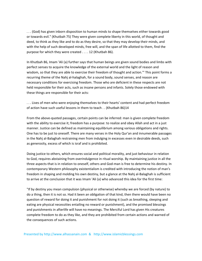. . . (God) has given inborn disposition to human minds to shape themselves either towards good or towards evil." (Khutbah 75) They were given complete liberty in this world, of thought and deed, to think as they like and to do as they desire, so that they may develop their minds, and with the help of such developed minds, free will, and the span of life allotted to them, find the purpose for which they were created . . . . 12 (Khutbah 86).

In Khutbah 86, Imam 'Ali (a) further says that human beings are given sound bodies and limbs with perfect senses to acquire the knowledge of the external world and the light of reason and wisdom, so that they are able to exercise their freedom of thought and action.'" This point forms a recurring theme of the Nahj al‐halaghah, for a sound body, sound senses, and reason are necessary conditions for exercising freedom. Those who are deficient in these respects are not held responsible for their acts, such as insane persons and infants. Solely those endowed with these things are responsible for their acts:

. . . Lives of men who were enjoying themselves to their hearts' content and had perfect freedom of action have such useful lessons in them to teach . . (Khutbah 86)14

From the above-quoted passages, certain points can be inferred: man is given complete freedom with the ability to exercise it; freedom has a purpose: to realize and obey Allah and act in a just manner. Justice can be defined as maintaining equilibrium among various obligations and rights. One has to be just to oneself. There are many verses in the Holy Qur'an and innumerable passages in the Nahj al‐Balaghah restraining men from indulging in excesses even in desirable deeds, such as generosity, excess of which is israf and is prohibited.

Doing justice to others, which ensures social and political morality, and just behaviour in relation to God, requires abstaining from overindulgence in ritual worship. By maintaining justice in all the three aspects‐that is in relation to oneself, others and God‐man is free to determine his destiny. In contemporary Western philosophy existentialism is credited with introducing the notion of man's freedom in shaping and molding his own destiny, but a glance at the Nahj al‐Balaghah is sufficient to arrive at the conclusion that it was Imam 'Ali (a) who advanced this idea for the first time:

"If by destiny you mean compulsion (physical or otherwise) whereby we are forced (by nature) to do a thing, then it is not so. Had it been an obligation of that kind, then there would have been no question of reward for doing it and punishment for not doing it (such as breathing, sleeping and eating are physical necessities entailing no reward or punishment), and the promised blessings and punishments in afterlife will have no meanings. The Merciful Lord has given His creatures complete freedom to do as they like, and they are prohibited from certain actions and warned of the consequences of such actions.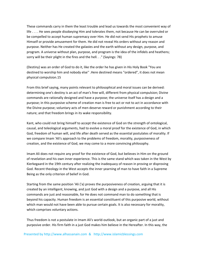These commands carry in them the least trouble and lead us towards the most convenient way of life . . . . He sees people disobeying Him and tolerates them, not because He can be overruled or be compelled to accept human supremacy over Him. He did not send His prophets to amuse Himself or provide amusement for them. He did not reveal His orders without any reason and purpose. Neither has He created the galaxies and the earth without any design, purpose, and program. A universe without plan, purpose, and program is the idea of the infidels and heathens; sorry will be their plight in the fires and the hell. . ." (Sayings: 78)

(Destiny) was an order of God to do it, like the order he has given in His Holy Book "You are destined to worship him and nobody else'' .Here destined means "ordered", it does not mean physical compulsion.15

From this brief saying, many points relevant to philosophical and moral issues can be derived: determining one's destiny is an act of man's free will, different from physical compulsion; Divine commands are rationally designed and have a purpose; the universe itself has a design and a purpose; in this purposive scheme of creation man is free to act or not to act in accordance with the Divine purpose; voluntary acts of men deserve reward or punishment according to their nature; and that freedom brings in its wake responsibility.

Kant, who could not bring himself to accept the existence of God on the strength of ontological, causal, and teleological arguments, had to evolve a moral proof for the existence of God, in which God, freedom of human will, and life after death served as the essential postulates of morality. If we compare Imam 'Ali's approach to the problems of freedom, morality, purposiveness of creation, and the existence of God, we may come to a more convincing philosophy.

Imam Ali does not require any proof for the existence of God, but believes in Him on the ground of revelation and his own inner experience. This is the same stand which was taken in the West by Kierkegaard in the 19th century after realizing the inadequacy of reason in proving or disproving God. Recent theology in the West accepts the inner yearning of man to have faith in a Supreme Being as the only criterion of belief in God.

Starting from the same position 'Ali ('a) proves the purposiveness of creation, arguing that it is created by an intelligent, knowing, and just God with a design and a purpose, and all His commands are just and reasonable, for He does not command man to do something that is beyond his capacity. Human freedom is an essential constituent of this purposive world, without which man would not have been able to pursue certain goals. It is also necessary for morality, which comprises voluntary actions.

Thus freedom is not a postulate in Imam Ali's world‐outlook, but an organic part of a just and purposive order. His firm faith in a just God makes him believe in the Hereafter. In this way, the